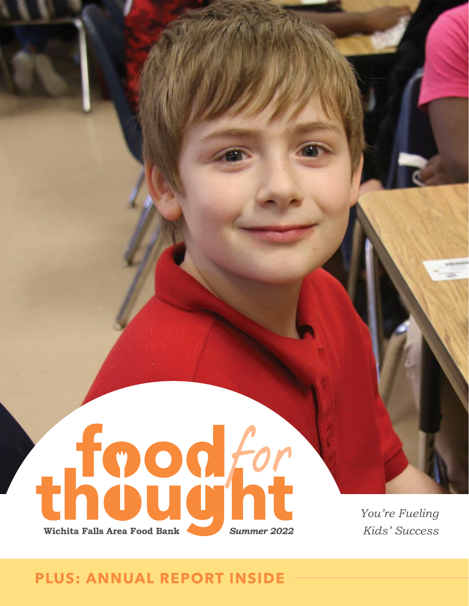

*You're Fueling Kids' Success* 

### **PLUS: ANNUAL REPORT INSIDE**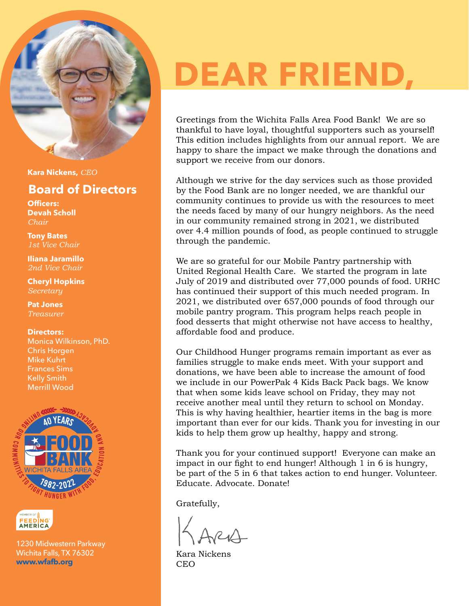

**Kara Nickens,** *CEO*

#### **Board of Directors**

**Officers: Devah Scholl** *Chair*

**Tony Bates** *1st Vice Chair*

**Iliana Jaramillo**  *2nd Vice Chair*

**Cheryl Hopkins**  *Secretary*

**Pat Jones** *Treasurer*

#### **Directors:**

Monica Wilkinson, PhD. Chris Horgen Mike Kuhrt Frances Sims Kelly Smith Merrill Wood





1230 Midwestern Parkway Wichita Falls, TX 76302 **[www.wfafb.org](https://www.wfafb.org)**

# **DEAR FRIEND,**

Greetings from the [Wichita Falls Area Food Bank!](https://www.wfafb.org) We are so thankful to have loyal, thoughtful supporters such as yourself! This edition includes highlights from our annual report. We are happy to share the impact we make through the donations and support we receive from our donors.

Although we strive for the day services such as those provided by the Food Bank are no longer needed, we are thankful our community continues to provide us with the resources to meet the needs faced by many of our hungry neighbors. As the need in our community remained strong in 2021, we distributed over 4.4 million pounds of food, as people continued to struggle through the pandemic.

We are so grateful for our [Mobile Pantry p](https://www.wfafb.org/copy-of-childhood-hunger)artnership with United Regional Health Care. We started the program in late July of 2019 and distributed over 77,000 pounds of food. URHC has continued their support of this much needed program. In 2021, we distributed over 657,000 pounds of food through our mobile pantry program. This program helps reach people in food desserts that might otherwise not have access to healthy, affordable food and produce.

Our Childhood Hunger programs remain important as ever as families struggle to make ends meet. With your support and donations, we have been able to increase the amount of food we include in our PowerPak 4 Kids Back Pack bags. We know that when some kids leave school on Friday, they may not receive another meal until they return to school on Monday. This is why having healthier, heartier items in the bag is more important than ever for our kids. Thank you for investing in our kids to help them grow up healthy, happy and strong.

Thank you for your continued support! Everyone can make an impact in our fight to end hunger! Although 1 in 6 is hungry, be part of the 5 in 6 that takes action to end hunger. Volunteer. Educate. Advocate. Donate!

Gratefully,

Kara Nickens **CEO**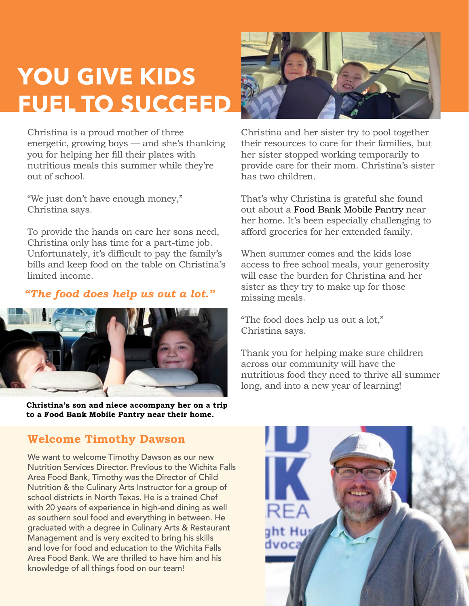### **YOU GIVE KIDS FUEL TO SUCCEED**

Christina is a proud mother of three energetic, growing boys — and she's thanking you for helping her fill their plates with nutritious meals this summer while they're out of school.

"We just don't have enough money," Christina says.

To provide the hands on care her sons need, Christina only has time for a part-time job. Unfortunately, it's difficult to pay the family's bills and keep food on the table on Christina's limited income.

#### *"The food does help us out a lot."*



**Christina's son and niece accompany her on a trip to a Food Bank Mobile Pantry near their home.**



Christina and her sister try to pool together their resources to care for their families, but her sister stopped working temporarily to provide care for their mom. Christina's sister has two children.

That's why Christina is grateful she found out about a [Food Bank Mobile Pantry](https://www.wfafb.org/pantrylisting) near her home. It's been especially challenging to afford groceries for her extended family.

When summer comes and the kids lose access to free school meals, your generosity will ease the burden for Christina and her sister as they try to make up for those missing meals.

"The food does help us out a lot," Christina says.

Thank you for helping make sure children across our community will have the nutritious food they need to thrive all summer long, and into a new year of learning!

#### **Welcome Timothy Dawson**

We want to welcome Timothy Dawson as our new Nutrition Services Director. Previous to the Wichita Falls Area Food Bank, Timothy was the Director of Child Nutrition & the Culinary Arts Instructor for a group of school districts in North Texas. He is a trained Chef with 20 years of experience in high-end dining as well as southern soul food and everything in between. He graduated with a degree in Culinary Arts & Restaurant Management and is very excited to bring his skills and love for food and education to the Wichita Falls Area Food Bank. We are thrilled to have him and his knowledge of all things food on our team!

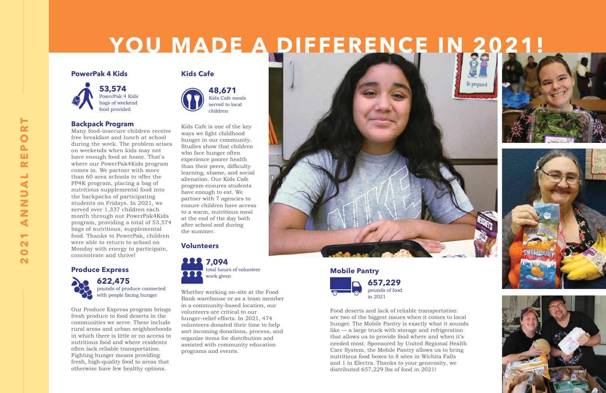Food deserts and lack of reliable transportation are two of the biggest issues when it comes to local hunger. The Mobile Pantry is exactly what it sounds like — a large truck with storage and refrigeration that allows us to provide food where and when it's needed most. Sponsored by United Regional Health Care System, the Mobile Pantry allows us to bring nutritious food boxes to 8 sites in Wichita Falls and 1 in Electra. Thanks to your generosity, we distributed 657,229 lbs of food in 2021!

# YOU MADE A DIFFERENCE IN 20

#### **PowerPak 4 Kids**



#### **Backpack Program**

Many food-insecure children receive free breakfast and lunch at school during the week. The problem arises on weekends when kids may not have enough food at home. That's where our PowerPak4Kids program comes in. We partner with more than 60 area schools to offer the PP4K program, placing a bag of nutritious supplemental food into the backpacks of participating students on Fridays. In 2021, we served over 1,337 children each month through our PowerPak4Kids program, providing a total of 53,574 bags of nutritious, supplemental food. Thanks to PowerPak, children were able to return to school on Monday with energy to participate, concentrate and thrive!

#### **Produce Express**







Our Produce Express program brings fresh produce to food deserts in the communities we serve. These include rural areas and urban neighborhoods in which there is little or no access to nutritious food and where residents often lack reliable transportation. Fighting hunger means providing fresh, high-quality food to areas that otherwise have few healthy options.

#### **Kids Cafe**



Kids Cafe is one of the key ways we fight childhood hunger in our community. Studies show that children who face hunger often experience poorer health than their peers, difficulty learning, shame, and social alienation. Our Kids Cafe program ensures students have enough to eat. We partner with 7 agencies to ensure children have access to a warm, nutritious meal at the end of the day both after school and during the summer.

#### **Volunteers**

Whether working on-site at the Food Bank warehouse or as a team member in a community-based location, our volunteers are critical to our hunger-relief efforts. In 2021, 474 volunteers donated their time to help sort incoming donations, process, and organize items for distribution and assisted with community education programs and events.

**53,574**  PowerPak 4 Kids bags of weekend food provided

**622,475** pounds of produce connected with people facing hunger

**48,671** Kids Cafe meals served to local children



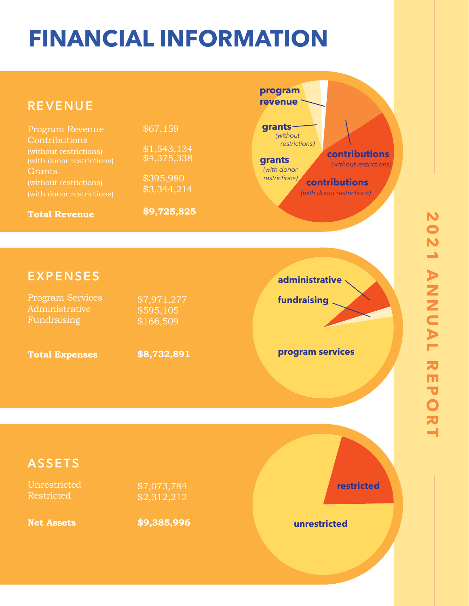## **FINANCIAL INFORMATION**

#### **REVENUE** Program Revenue **Contributions** (without restrictions) **Grants Total Revenue** \$67,159 \$395,980 \$3,344,214 **\$9,725,825 EXPENSES** Program Services Administrative Fundraising **Total Expenses** \$7,971,277 \$595,105 \$166,509 **\$8,732,891 program services administrative fundraising contributions** *(without restrictions) (without restrictions) (with donor restrictions) (with donor restrictions)* **contributions grants grants program revenue**

#### **ASSETS**

Unrestricted Restricted

\$7,073,784  $\sqrt{$2,312,212}$ 

**Net Assets**

**\$9,385,996 unrestricted**

**restricted**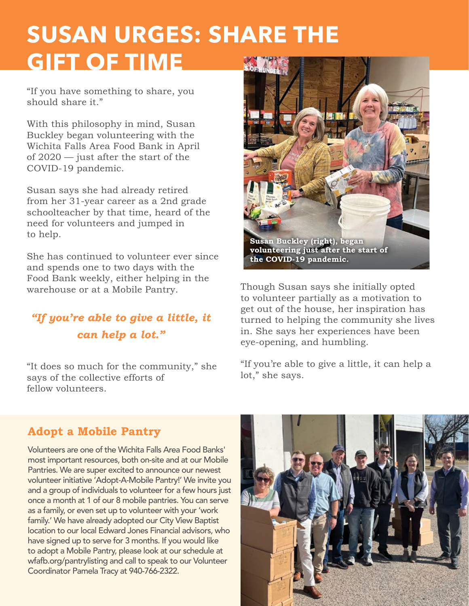## **SUSAN URGES: SHARE THE GIFT OF TIME**

"If you have something to share, you should share it."

With this philosophy in mind, Susan Buckley began volunteering with the Wichita Falls Area Food Bank in April of 2020 — just after the start of the COVID-19 pandemic.

Susan says she had already retired from her 31-year career as a 2nd grade schoolteacher by that time, heard of the need for volunteers and jumped in to help.

She has continued to volunteer ever since and spends one to two days with the Food Bank weekly, either helping in the warehouse or at a Mobile Pantry.

### *"If you're able to give a little, it can help a lot."*

"It does so much for the community," she says of the collective efforts of fellow volunteers.



Though Susan says she initially opted to volunteer partially as a motivation to get out of the house, her inspiration has turned to helping the community she lives in. She says her experiences have been eye-opening, and humbling.

"If you're able to give a little, it can help a lot," she says.

#### **Adopt a Mobile Pantry**

Volunteers are one of the Wichita Falls Area Food Banks' most important resources, both on-site and at our Mobile Pantries. We are super excited to announce our newest volunteer initiative 'Adopt-A-Mobile Pantry!' We invite you and a group of individuals to volunteer for a few hours just once a month at 1 of our 8 mobile pantries. You can serve as a family, or even set up to volunteer with your 'work family.' We have already adopted our City View Baptist location to our local Edward Jones Financial advisors, who have signed up to serve for 3 months. If you would like to adopt a Mobile Pantry, please look at our schedule at wfafb.org/pantrylisting and call to speak to our Volunteer Coordinator Pamela Tracy at 940-766-2322.